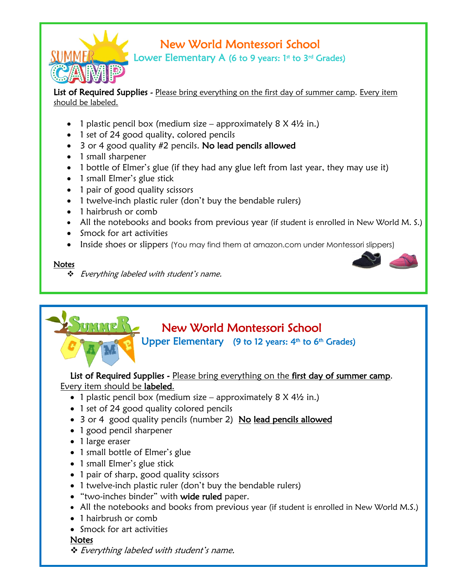

# New World Montessori School

Lower Elementary A (6 to 9 years:  $1<sup>st</sup>$  to  $3<sup>rd</sup>$  Grades)

List of Required Supplies - Please bring everything on the first day of summer camp. Every item should be labeled.

- 1 plastic pencil box (medium size approximately 8 X 4½ in.)
- 1 set of 24 good quality, colored pencils
- 3 or 4 good quality #2 pencils. No lead pencils allowed
- 1 small sharpener
- 1 bottle of Elmer's glue (if they had any glue left from last year, they may use it)
- 1 small Elmer's glue stick
- 1 pair of good quality scissors
- 1 twelve-inch plastic ruler (don't buy the bendable rulers)
- 1 hairbrush or comb
- All the notebooks and books from previous year (if student is enrolled in New World M. S.)
- Smock for art activities
- Inside shoes or slippers (You may find them at amazon.com under Montessori slippers)

#### Notes

i.

\* Everything labeled with student's name.

# New World Montessori School

Upper Elementary (9 to 12 years:  $4<sup>th</sup>$  to  $6<sup>th</sup>$  Grades)

List of Required Supplies - Please bring everything on the first day of summer camp. Every item should be labeled.

- 1 plastic pencil box (medium size approximately 8 X 4½ in.)
- 1 set of 24 good quality colored pencils
- 3 or 4 good quality pencils (number 2) No lead pencils allowed
- 1 good pencil sharpener
- 1 large eraser
- 1 small bottle of Elmer's glue
- 1 small Elmer's glue stick
- 1 pair of sharp, good quality scissors
- 1 twelve-inch plastic ruler (don't buy the bendable rulers)
- "two-inches binder" with wide ruled paper.
- All the notebooks and books from previous year (if student is enrolled in New World M.S.)
- 1 hairbrush or comb
- Smock for art activities

#### **Notes**

**→** Everything labeled with student's name.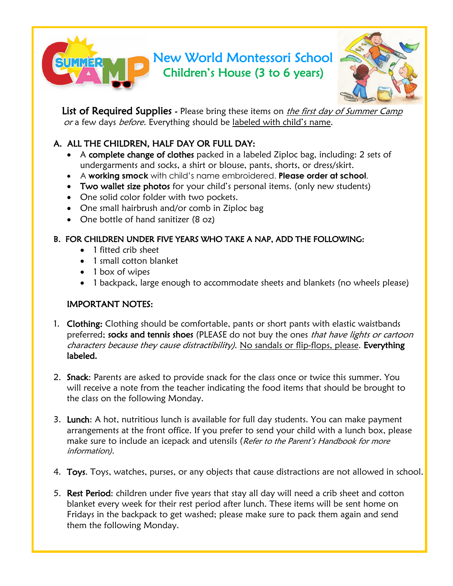# New World Montessori School Children's House (3 to 6 years) i.



List of Required Supplies - Please bring these items on *the first day of Summer Camp* or a few days before. Everything should be labeled with child's name.

# A. ALL THE CHILDREN, HALF DAY OR FULL DAY:

- A complete change of clothes packed in a labeled Ziploc bag, including: 2 sets of undergarments and socks, a shirt or blouse, pants, shorts, or dress/skirt.
- A **working smock** with child's name embroidered. **Please order at school**.
- Two wallet size photos for your child's personal items. (only new students)
- One solid color folder with two pockets.
- One small hairbrush and/or comb in Ziploc bag
- One bottle of hand sanitizer (8 oz)

## B. FOR CHILDREN UNDER FIVE YEARS WHO TAKE A NAP, ADD THE FOLLOWING:

- 1 fitted crib sheet
- 1 small cotton blanket
- 1 box of wipes
- 1 backpack, large enough to accommodate sheets and blankets (no wheels please)

## IMPORTANT NOTES:

- 1. Clothing: Clothing should be comfortable, pants or short pants with elastic waistbands preferred; socks and tennis shoes (PLEASE do not buy the ones that have lights or cartoon characters because they cause distractibility). No sandals or flip-flops, please. Everything labeled.
- 2. Snack: Parents are asked to provide snack for the class once or twice this summer. You will receive a note from the teacher indicating the food items that should be brought to the class on the following Monday.
- 3. Lunch: A hot, nutritious lunch is available for full day students. You can make payment arrangements at the front office. If you prefer to send your child with a lunch box, please make sure to include an icepack and utensils (Refer to the Parent's Handbook for more information).
- 4. Toys. Toys, watches, purses, or any objects that cause distractions are not allowed in school.
- 5. Rest Period: children under five years that stay all day will need a crib sheet and cotton blanket every week for their rest period after lunch. These items will be sent home on Fridays in the backpack to get washed; please make sure to pack them again and send them the following Monday.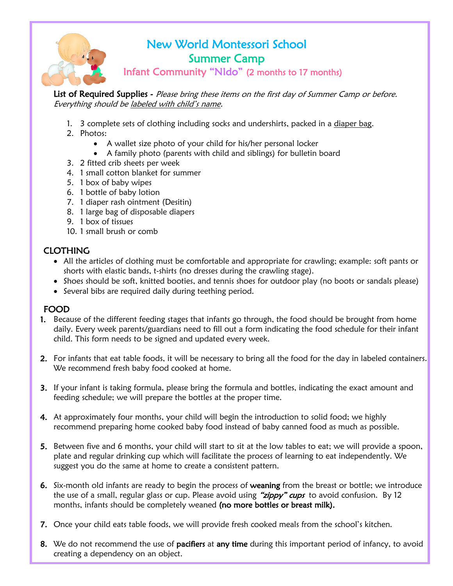

# New World Montessori School Summer Camp

Infant Community "NIdo" (2 months to 17 months)

List of Required Supplies - Please bring these items on the first day of Summer Camp or before. Everything should be labeled with child's name.

- 1. 3 complete sets of clothing including socks and undershirts, packed in a diaper bag.
- 2. Photos:
	- A wallet size photo of your child for his/her personal locker
	- A family photo (parents with child and siblings) for bulletin board
- 3. 2 fitted crib sheets per week
- 4. 1 small cotton blanket for summer
- 5. 1 box of baby wipes
- 6. 1 bottle of baby lotion
- 7. 1 diaper rash ointment (Desitin)
- 8. 1 large bag of disposable diapers
- 9. 1 box of tissues
- 10. 1 small brush or comb

## CLOTHING

- All the articles of clothing must be comfortable and appropriate for crawling; example: soft pants or shorts with elastic bands, t-shirts (no dresses during the crawling stage).
- Shoes should be soft, knitted booties, and tennis shoes for outdoor play (no boots or sandals please)
- Several bibs are required daily during teething period.

#### FOOD

- 1. Because of the different feeding stages that infants go through, the food should be brought from home daily. Every week parents/guardians need to fill out a form indicating the food schedule for their infant child. This form needs to be signed and updated every week.
- 2. For infants that eat table foods, it will be necessary to bring all the food for the day in labeled containers. We recommend fresh baby food cooked at home.
- 3. If your infant is taking formula, please bring the formula and bottles, indicating the exact amount and feeding schedule; we will prepare the bottles at the proper time.
- 4. At approximately four months, your child will begin the introduction to solid food; we highly recommend preparing home cooked baby food instead of baby canned food as much as possible.
- 5. Between five and 6 months, your child will start to sit at the low tables to eat; we will provide a spoon, plate and regular drinking cup which will facilitate the process of learning to eat independently. We suggest you do the same at home to create a consistent pattern.
- 6. Six-month old infants are ready to begin the process of weaning from the breast or bottle; we introduce the use of a small, regular glass or cup. Please avoid using "zippy" cups to avoid confusion. By 12 months, infants should be completely weaned (no more bottles or breast milk).
- 7. Once your child eats table foods, we will provide fresh cooked meals from the school's kitchen.
- 8. We do not recommend the use of pacifiers at any time during this important period of infancy, to avoid creating a dependency on an object.